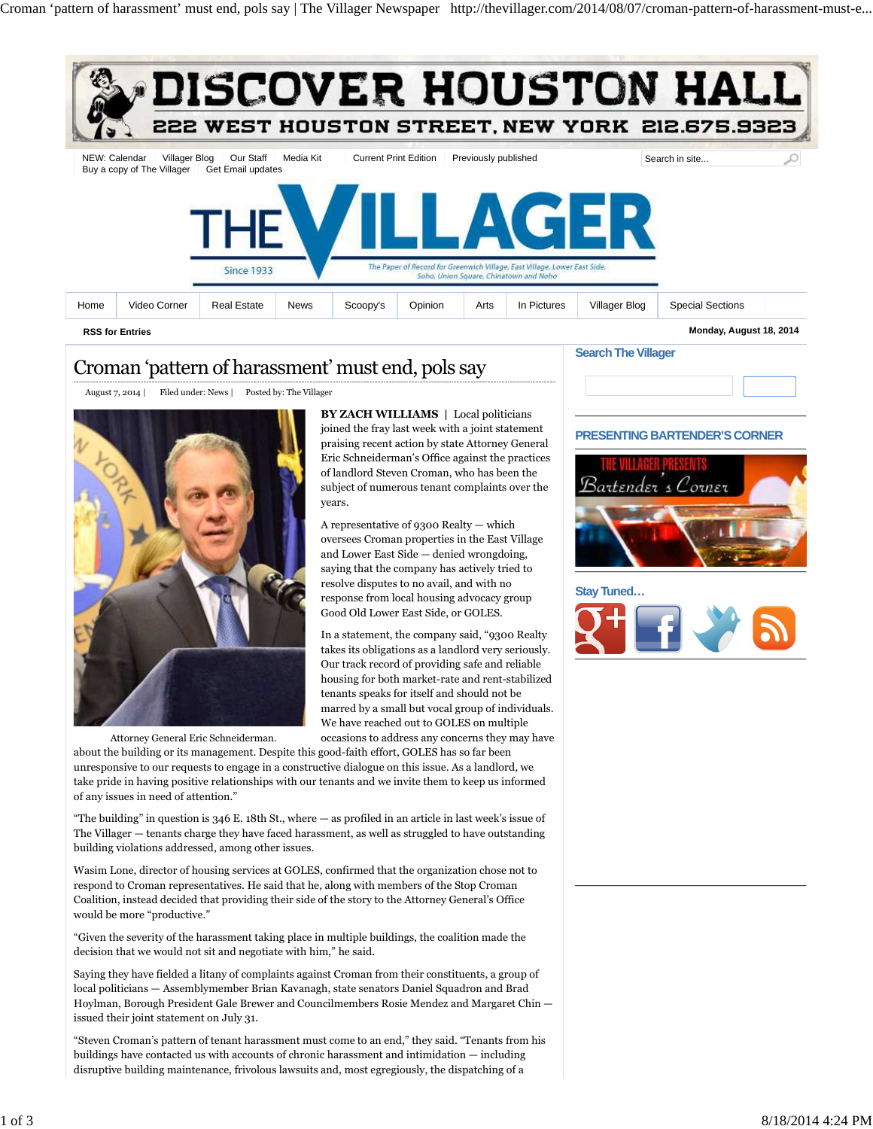

# Croman 'pattern of harassment' must end, pols say

August 7, 2014 | Filed under: News | Posted by: The Villager



**BY ZACH WILLIAMS |** Local politicians joined the fray last week with a joint statement praising recent action by state Attorney General Eric Schneiderman's Office against the practices of landlord Steven Croman, who has been the subject of numerous tenant complaints over the years.

A representative of 9300 Realty — which oversees Croman properties in the East Village and Lower East Side — denied wrongdoing, saying that the company has actively tried to resolve disputes to no avail, and with no response from local housing advocacy group Good Old Lower East Side, or GOLES.

In a statement, the company said, "9300 Realty takes its obligations as a landlord very seriously. Our track record of providing safe and reliable housing for both market-rate and rent-stabilized tenants speaks for itself and should not be marred by a small but vocal group of individuals. We have reached out to GOLES on multiple occasions to address any concerns they may have

Attorney General Eric Schneiderman.

about the building or its management. Despite this good-faith effort, GOLES has so far been unresponsive to our requests to engage in a constructive dialogue on this issue. As a landlord, we take pride in having positive relationships with our tenants and we invite them to keep us informed of any issues in need of attention."

"The building" in question is 346 E. 18th St., where — as profiled in an article in last week's issue of The Villager — tenants charge they have faced harassment, as well as struggled to have outstanding building violations addressed, among other issues.

Wasim Lone, director of housing services at GOLES, confirmed that the organization chose not to respond to Croman representatives. He said that he, along with members of the Stop Croman Coalition, instead decided that providing their side of the story to the Attorney General's Office would be more "productive."

"Given the severity of the harassment taking place in multiple buildings, the coalition made the decision that we would not sit and negotiate with him," he said.

Saying they have fielded a litany of complaints against Croman from their constituents, a group of local politicians — Assemblymember Brian Kavanagh, state senators Daniel Squadron and Brad Hoylman, Borough President Gale Brewer and Councilmembers Rosie Mendez and Margaret Chin issued their joint statement on July 31.

"Steven Croman's pattern of tenant harassment must come to an end," they said. "Tenants from his buildings have contacted us with accounts of chronic harassment and intimidation — including disruptive building maintenance, frivolous lawsuits and, most egregiously, the dispatching of a

### **PRESENTING BARTENDER'S CORNER**



**Stay Tuned…**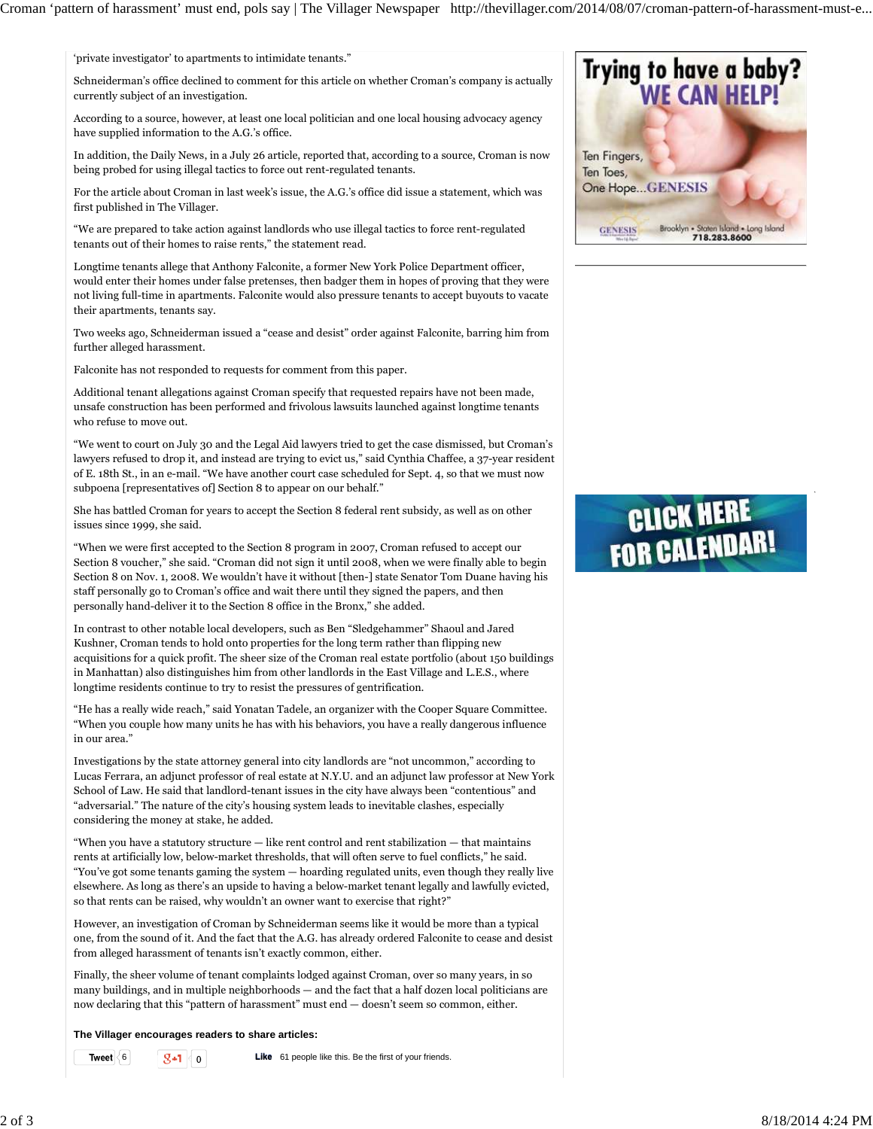'private investigator' to apartments to intimidate tenants."

Schneiderman's office declined to comment for this article on whether Croman's company is actually currently subject of an investigation.

According to a source, however, at least one local politician and one local housing advocacy agency have supplied information to the A.G.'s office.

In addition, the Daily News, in a July 26 article, reported that, according to a source, Croman is now being probed for using illegal tactics to force out rent-regulated tenants.

For the article about Croman in last week's issue, the A.G.'s office did issue a statement, which was first published in The Villager.

"We are prepared to take action against landlords who use illegal tactics to force rent-regulated tenants out of their homes to raise rents," the statement read.

Longtime tenants allege that Anthony Falconite, a former New York Police Department officer, would enter their homes under false pretenses, then badger them in hopes of proving that they were not living full-time in apartments. Falconite would also pressure tenants to accept buyouts to vacate their apartments, tenants say.

Two weeks ago, Schneiderman issued a "cease and desist" order against Falconite, barring him from further alleged harassment.

Falconite has not responded to requests for comment from this paper.

Additional tenant allegations against Croman specify that requested repairs have not been made, unsafe construction has been performed and frivolous lawsuits launched against longtime tenants who refuse to move out.

"We went to court on July 30 and the Legal Aid lawyers tried to get the case dismissed, but Croman's lawyers refused to drop it, and instead are trying to evict us," said Cynthia Chaffee, a 37-year resident of E. 18th St., in an e-mail. "We have another court case scheduled for Sept. 4, so that we must now subpoena [representatives of] Section 8 to appear on our behalf."

She has battled Croman for years to accept the Section 8 federal rent subsidy, as well as on other issues since 1999, she said.

"When we were first accepted to the Section 8 program in 2007, Croman refused to accept our Section 8 voucher," she said. "Croman did not sign it until 2008, when we were finally able to begin Section 8 on Nov. 1, 2008. We wouldn't have it without [then-] state Senator Tom Duane having his staff personally go to Croman's office and wait there until they signed the papers, and then personally hand-deliver it to the Section 8 office in the Bronx," she added.

In contrast to other notable local developers, such as Ben "Sledgehammer" Shaoul and Jared Kushner, Croman tends to hold onto properties for the long term rather than flipping new acquisitions for a quick profit. The sheer size of the Croman real estate portfolio (about 150 buildings in Manhattan) also distinguishes him from other landlords in the East Village and L.E.S., where longtime residents continue to try to resist the pressures of gentrification.

"He has a really wide reach," said Yonatan Tadele, an organizer with the Cooper Square Committee. "When you couple how many units he has with his behaviors, you have a really dangerous influence in our area."

Investigations by the state attorney general into city landlords are "not uncommon," according to Lucas Ferrara, an adjunct professor of real estate at N.Y.U. and an adjunct law professor at New York School of Law. He said that landlord-tenant issues in the city have always been "contentious" and "adversarial." The nature of the city's housing system leads to inevitable clashes, especially considering the money at stake, he added.

"When you have a statutory structure — like rent control and rent stabilization — that maintains rents at artificially low, below-market thresholds, that will often serve to fuel conflicts," he said. "You've got some tenants gaming the system — hoarding regulated units, even though they really live elsewhere. As long as there's an upside to having a below-market tenant legally and lawfully evicted, so that rents can be raised, why wouldn't an owner want to exercise that right?"

However, an investigation of Croman by Schneiderman seems like it would be more than a typical one, from the sound of it. And the fact that the A.G. has already ordered Falconite to cease and desist from alleged harassment of tenants isn't exactly common, either.

Finally, the sheer volume of tenant complaints lodged against Croman, over so many years, in so many buildings, and in multiple neighborhoods — and the fact that a half dozen local politicians are now declaring that this "pattern of harassment" must end — doesn't seem so common, either.

**The Villager encourages readers to share articles:**

**Tweet**  $\begin{array}{|c|c|c|c|c|}\n\hline\n\mathbf{g} & \mathbf{1} & \mathbf{0} & \mathbf{Like} & \mathbf{61} & \mathbf{p}}\n\end{array}$  be the first of your friends.



# **CLICK HERE FOR CALENDAR!**